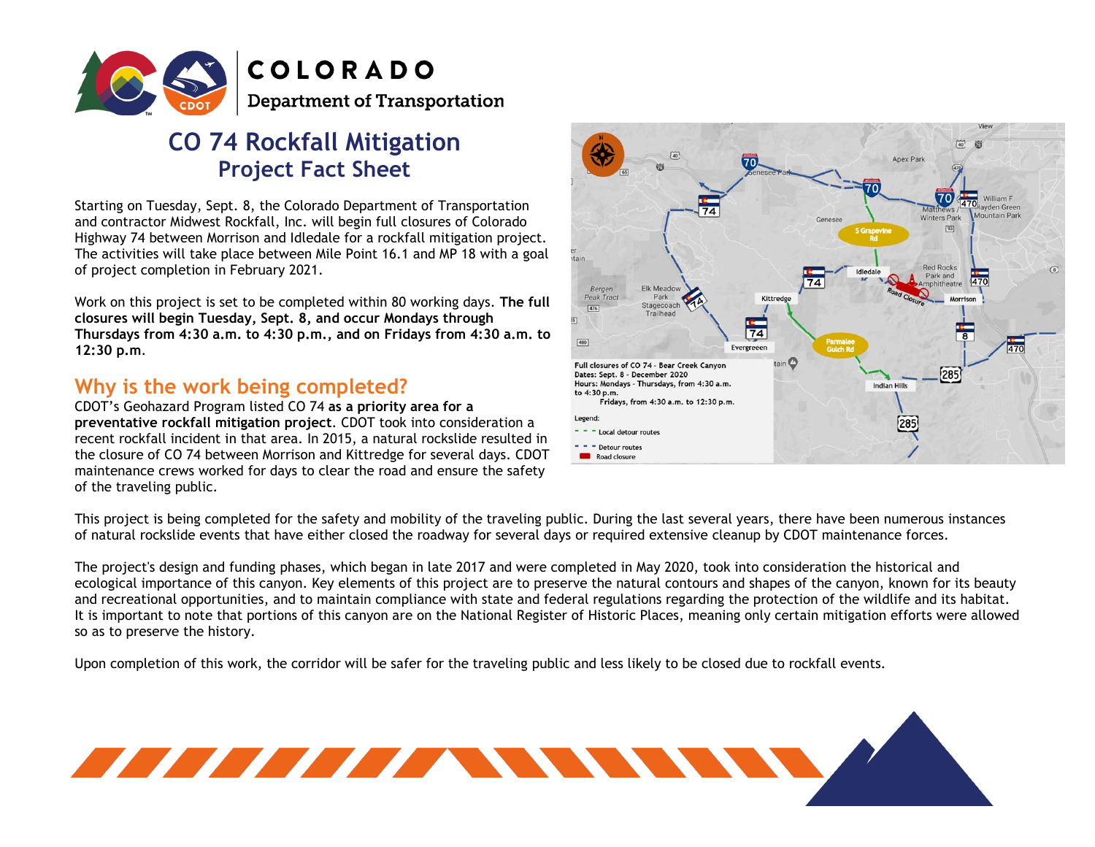

# **CO 74 Rockfall Mitigation Project Fact Sheet**

 $\overline{a}$ Starting on Tuesday, Sept. 8, the Colorado Department of Transportation and contractor Midwest Rockfall, Inc. will begin full closures of Colorado Highway 74 between Morrison and Idledale for a rockfall mitigation project. The activities will take place between Mile Point 16.1 and MP 18 with a goal of project completion in February 2021.

Work on this project is set to be completed within 80 working days. **The full closures will begin Tuesday, Sept. 8, and occur Mondays through Thursdays from 4:30 a.m. to 4:30 p.m., and on Fridays from 4:30 a.m. to 12:30 p.m**.

## **Why is the work being completed?**

CDOT's Geohazard Program listed CO 74 **as a priority area for a preventative rockfall mitigation project**. CDOT took into consideration a recent rockfall incident in that area. In 2015, a natural rockslide resulted in the closure of CO 74 between Morrison and Kittredge for several days. CDOT maintenance crews worked for days to clear the road and ensure the safety of the traveling public.



This project is being completed for the safety and mobility of the traveling public. During the last several years, there have been numerous instances of natural rockslide events that have either closed the roadway for several days or required extensive cleanup by CDOT maintenance forces.

The project's design and funding phases, which began in late 2017 and were completed in May 2020, took into consideration the historical and ecological importance of this canyon. Key elements of this project are to preserve the natural contours and shapes of the canyon, known for its beauty and recreational opportunities, and to maintain compliance with state and federal regulations regarding the protection of the wildlife and its habitat. It is important to note that portions of this canyon are on the National Register of Historic Places, meaning only certain mitigation efforts were allowed so as to preserve the history.

Upon completion of this work, the corridor will be safer for the traveling public and less likely to be closed due to rockfall events.